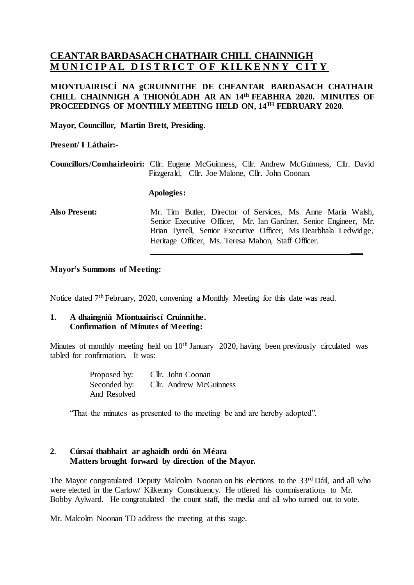# **CEANTAR BARDASACH CHATHAIR CHILL CHAINNIGH MUNICIPAL DISTRICT OF KILKENNY CITY**

# **MIONTUAIRISCÍ NA gCRUINNITHE DE CHEANTAR BARDASACH CHATHAIR CHILL CHAINNIGH A THIONÓLADH AR AN 14 th FEABHRA 2020. MINUTES OF PROCEEDINGS OF MONTHLY MEETING HELD ON, 14 TH FEBRUARY 2020.**

**Mayor, Councillor, Martin Brett, Presiding.**

**Present/ I Láthair:-**

**Councillors/Comhairleoirí:** Cllr. Eugene McGuinness, Cllr. Andrew McGuinness, Cllr. David Fitzgerald, Cllr. Joe Malone, Cllr. John Coonan.

#### **Apologies:**

**Also Present:** Mr. Tim Butler, Director of Services, Ms. Anne Maria Walsh, Senior Executive Officer, Mr. Ian Gardner, Senior Engineer, Mr. Brian Tyrrell, Senior Executive Officer, Ms Dearbhala Ledwidge, Heritage Officer, Ms. Teresa Mahon, Staff Officer.

**\_\_\_**

#### **Mayor's Summons of Meeting:**

Notice dated 7<sup>th</sup> February, 2020, convening a Monthly Meeting for this date was read.

#### **1. A dhaingniú Miontuairiscí Cruinnithe. Confirmation of Minutes of Meeting:**

Minutes of monthly meeting held on 10<sup>th</sup> January 2020, having been previously circulated was tabled for confirmation. It was:

> Proposed by: Cllr. John Coonan Seconded by: Cllr. Andrew McGuinness And Resolved

"That the minutes as presented to the meeting be and are hereby adopted".

# **2. Cúrsaí thabhairt ar aghaidh ordú ón Méara Matters brought forward by direction of the Mayor.**

The Mayor congratulated Deputy Malcolm Noonan on his elections to the 33<sup>rd</sup> Dáil, and all who were elected in the Carlow/ Kilkenny Constituency. He offered his commiserations to Mr. Bobby Aylward. He congratulated the count staff, the media and all who turned out to vote.

Mr. Malcolm Noonan TD address the meeting at this stage.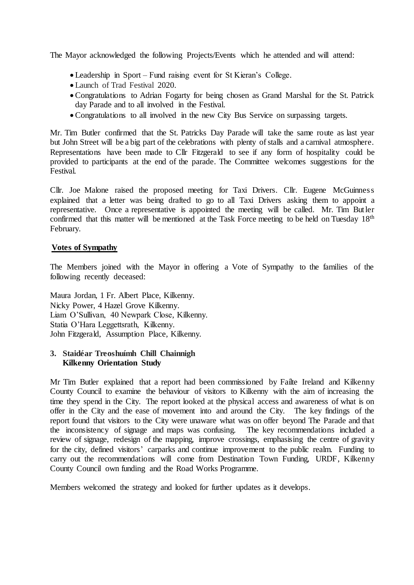The Mayor acknowledged the following Projects/Events which he attended and will attend:

- Leadership in Sport Fund raising event for St Kieran's College.
- Launch of Trad Festival 2020.
- •Congratulations to Adrian Fogarty for being chosen as Grand Marshal for the St. Patrick day Parade and to all involved in the Festival.
- •Congratulations to all involved in the new City Bus Service on surpassing targets.

Mr. Tim Butler confirmed that the St. Patricks Day Parade will take the same route as last year but John Street will be a big part of the celebrations with plenty of stalls and a carnival atmosphere. Representations have been made to Cllr Fitzgerald to see if any form of hospitality could be provided to participants at the end of the parade. The Committee welcomes suggestions for the Festival.

Cllr. Joe Malone raised the proposed meeting for Taxi Drivers. Cllr. Eugene McGuinness explained that a letter was being drafted to go to all Taxi Drivers asking them to appoint a representative. Once a representative is appointed the meeting will be called. Mr. Tim Butler confirmed that this matter will be mentioned at the Task Force meeting to be held on Tuesday 18<sup>th</sup> February.

#### **Votes of Sympathy**

The Members joined with the Mayor in offering a Vote of Sympathy to the families of the following recently deceased:

Maura Jordan, 1 Fr. Albert Place, Kilkenny. Nicky Power, 4 Hazel Grove Kilkenny. Liam O'Sullivan, 40 Newpark Close, Kilkenny. Statia O'Hara Leggettsrath, Kilkenny. John Fitzgerald, Assumption Place, Kilkenny.

# **3. Staidéar Treoshuímh Chill Chainnigh Kilkenny Orientation Study**

Mr Tim Butler explained that a report had been commissioned by Faílte Ireland and Kilkenny County Council to examine the behaviour of visitors to Kilkenny with the aim of increasing the time they spend in the City. The report looked at the physical access and awareness of what is on offer in the City and the ease of movement into and around the City. The key findings of the report found that visitors to the City were unaware what was on offer beyond The Parade and that the inconsistency of signage and maps was confusing. The key recommendations included a the inconsistency of signage and maps was confusing. review of signage, redesign of the mapping, improve crossings, emphasising the centre of gravity for the city, defined visitors' carparks and continue improvement to the public realm. Funding to carry out the recommendations will come from Destination Town Funding, URDF, Kilkenny County Council own funding and the Road Works Programme.

Members welcomed the strategy and looked for further updates as it develops.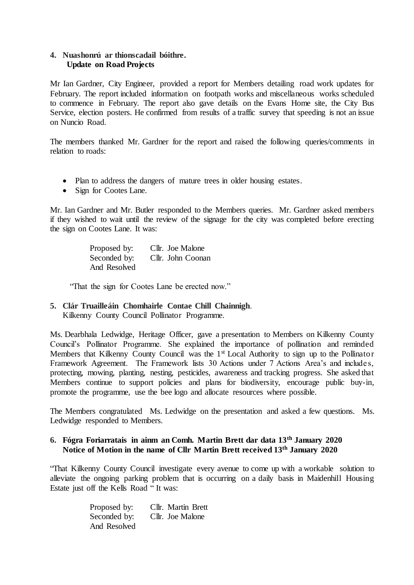# **4. Nuashonrú ar thionscadail bóithre. Update on Road Projects**

Mr Ian Gardner, City Engineer, provided a report for Members detailing road work updates for February. The report included information on footpath works and miscellaneous works scheduled to commence in February. The report also gave details on the Evans Home site, the City Bus Service, election posters. He confirmed from results of a traffic survey that speeding is not an issue on Nuncio Road.

The members thanked Mr. Gardner for the report and raised the following queries/comments in relation to roads:

- Plan to address the dangers of mature trees in older housing estates.
- Sign for Cootes Lane.

Mr. Ian Gardner and Mr. Butler responded to the Members queries. Mr. Gardner asked members if they wished to wait until the review of the signage for the city was completed before erecting the sign on Cootes Lane. It was:

> Proposed by: Cllr. Joe Malone Seconded by: Cllr. John Coonan And Resolved

"That the sign for Cootes Lane be erected now."

# **5. Clár Truailleáin Chomhairle Contae Chill Chainnigh**. Kilkenny County Council Pollinator Programme.

Ms. Dearbhala Ledwidge, Heritage Officer, gave a presentation to Members on Kilkenny County Council's Pollinator Programme. She explained the importance of pollination and reminded Members that Kilkenny County Council was the 1<sup>st</sup> Local Authority to sign up to the Pollinator Framework Agreement. The Framework lists 30 Actions under 7 Actions Area's and includes, protecting, mowing, planting, nesting, pesticides, awareness and tracking progress. She asked that Members continue to support policies and plans for biodiversity, encourage public buy-in, promote the programme, use the bee logo and allocate resources where possible.

The Members congratulated Ms. Ledwidge on the presentation and asked a few questions. Ms. Ledwidge responded to Members.

# **6. Fógra Foriarratais in ainm an Comh. Martin Brett dar data 13th January 2020 Notice of Motion in the name of Cllr Martin Brett received 13th January 2020**

"That Kilkenny County Council investigate every avenue to come up with a workable solution to alleviate the ongoing parking problem that is occurring on a daily basis in Maidenhill Housing Estate just off the Kells Road " It was:

> Proposed by: Cllr. Martin Brett Seconded by: Cllr. Joe Malone And Resolved